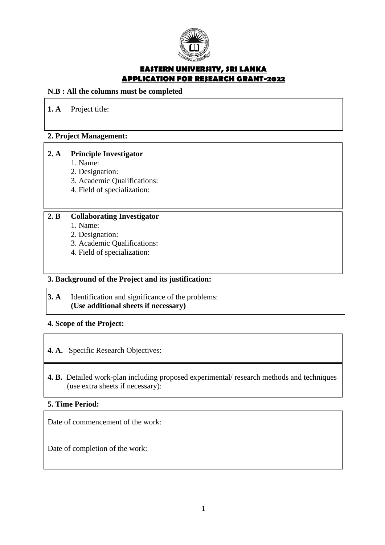

## **EASTERN UNIVERSITY, SRI LANKA APPLICATION FOR RESEARCH GRANT-2022**

## **N.B : All the columns must be completed**

**1. A** Project title:

## **2. Project Management:**

## **2. A Principle Investigator**

- 1. Name:
- 2. Designation:
- 3. Academic Qualifications:
- 4. Field of specialization:

## **2. B Collaborating Investigator**

- 1. Name:
- 2. Designation:
- 3. Academic Qualifications:
- 4. Field of specialization:

## **3. Background of the Project and its justification:**

## **3. A** Identification and significance of the problems: **(Use additional sheets if necessary)**

## **4. Scope of the Project:**

## **4. A.** Specific Research Objectives:

## **4. B.** Detailed work-plan including proposed experimental/ research methods and techniques (use extra sheets if necessary):

### **5. Time Period:**

Date of commencement of the work:

Date of completion of the work: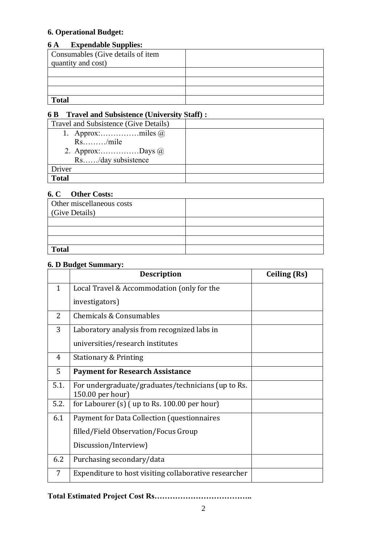# **6. Operational Budget:**

## **6 A Expendable Supplies:**

| Consumables (Give details of item |  |
|-----------------------------------|--|
| quantity and cost)                |  |
|                                   |  |
|                                   |  |
|                                   |  |
| <b>Total</b>                      |  |

# **6 B Travel and Subsistence (University Staff) :**

| Travel and Subsistence (Give Details) |  |
|---------------------------------------|--|
|                                       |  |
| $Rs.\dots\dots./mile$                 |  |
| 2. Approx:Days $\omega$               |  |
| Rs/day subsistence                    |  |
| Driver                                |  |
| <b>Total</b>                          |  |

## **6. C Other Costs:**

| Other miscellaneous costs<br>Give Details) |  |
|--------------------------------------------|--|
|                                            |  |
|                                            |  |
|                                            |  |
| <b>Total</b>                               |  |

## **6. D Budget Summary:**

|              | <b>Description</b>                                                     | <b>Ceiling (Rs)</b> |
|--------------|------------------------------------------------------------------------|---------------------|
| $\mathbf{1}$ | Local Travel & Accommodation (only for the                             |                     |
|              | investigators)                                                         |                     |
| 2            | Chemicals & Consumables                                                |                     |
| 3            | Laboratory analysis from recognized labs in                            |                     |
|              | universities/research institutes                                       |                     |
| 4            | <b>Stationary &amp; Printing</b>                                       |                     |
| 5            | <b>Payment for Research Assistance</b>                                 |                     |
| 5.1.         | For undergraduate/graduates/technicians (up to Rs.<br>150.00 per hour) |                     |
| 5.2.         | for Labourer $(s)$ (up to Rs. 100.00 per hour)                         |                     |
| 6.1          | Payment for Data Collection (questionnaires                            |                     |
|              | filled/Field Observation/Focus Group                                   |                     |
|              | Discussion/Interview)                                                  |                     |
| 6.2          | Purchasing secondary/data                                              |                     |
| 7            | Expenditure to host visiting collaborative researcher                  |                     |

**Total Estimated Project Cost Rs………………………………..**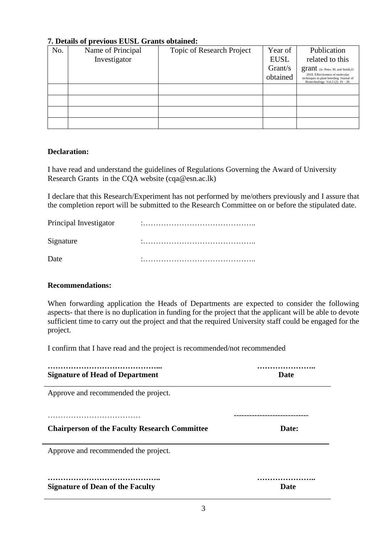| $\ldots$ became of previous become orality obtained. |                   |                           |             |                                                                                                                    |  |  |
|------------------------------------------------------|-------------------|---------------------------|-------------|--------------------------------------------------------------------------------------------------------------------|--|--|
| No.                                                  | Name of Principal | Topic of Research Project | Year of     | Publication                                                                                                        |  |  |
|                                                      | Investigator      |                           | <b>EUSL</b> | related to this                                                                                                    |  |  |
|                                                      |                   |                           | Grant/s     | grant (ie. Peter, M. and Smith, O.                                                                                 |  |  |
|                                                      |                   |                           | obtained    | 2018. Effectiveness of molecular<br>techniques in plant breeding. Journal of<br>Biotechnology. Vol.2 (2). 19 - 29. |  |  |
|                                                      |                   |                           |             |                                                                                                                    |  |  |
|                                                      |                   |                           |             |                                                                                                                    |  |  |
|                                                      |                   |                           |             |                                                                                                                    |  |  |
|                                                      |                   |                           |             |                                                                                                                    |  |  |

## **7. Details of previous EUSL Grants obtained:**

### **Declaration:**

I have read and understand the guidelines of Regulations Governing the Award of University Research Grants in the CQA website (cqa@esn.ac.lk)

I declare that this Research/Experiment has not performed by me/others previously and I assure that the completion report will be submitted to the Research Committee on or before the stipulated date.

| Principal Investigator | ٠ |
|------------------------|---|
| Signature              |   |
| Date                   |   |

### **Recommendations:**

When forwarding application the Heads of Departments are expected to consider the following aspects- that there is no duplication in funding for the project that the applicant will be able to devote sufficient time to carry out the project and that the required University staff could be engaged for the project.

I confirm that I have read and the project is recommended/not recommended

| <b>Signature of Head of Department</b>               | <b>Date</b> |  |  |
|------------------------------------------------------|-------------|--|--|
| Approve and recommended the project.                 |             |  |  |
|                                                      |             |  |  |
| <b>Chairperson of the Faculty Research Committee</b> | Date:       |  |  |
| Approve and recommended the project.                 |             |  |  |
|                                                      |             |  |  |
| <b>Signature of Dean of the Faculty</b>              | Date        |  |  |